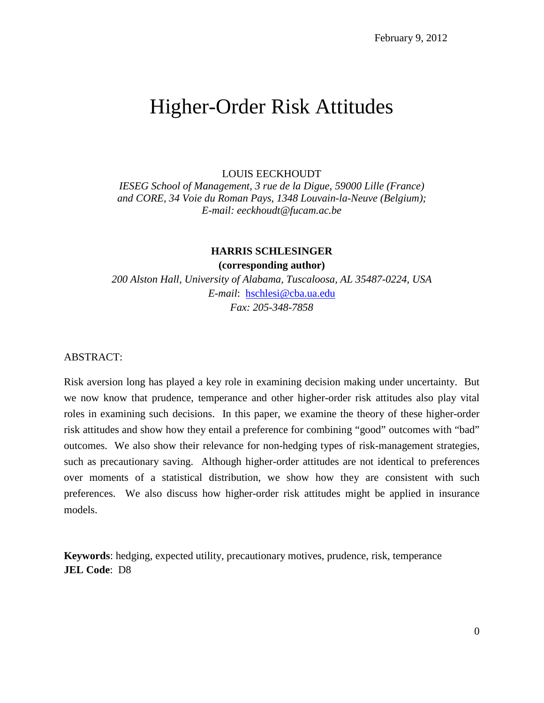# Higher-Order Risk Attitudes

# LOUIS EECKHOUDT

*IESEG School of Management, 3 rue de la Digue, 59000 Lille (France) and CORE, 34 Voie du Roman Pays, 1348 Louvain-la-Neuve (Belgium); E-mail: eeckhoudt@fucam.ac.be*

# **HARRIS SCHLESINGER**

**(corresponding author)**

*200 Alston Hall, University of Alabama, Tuscaloosa, AL 35487-0224, USA E-mail*: [hschlesi@cba.ua.edu](mailto:hschlesi@cba.ua.edu) *Fax: 205-348-7858*

ABSTRACT:

Risk aversion long has played a key role in examining decision making under uncertainty. But we now know that prudence, temperance and other higher-order risk attitudes also play vital roles in examining such decisions. In this paper, we examine the theory of these higher-order risk attitudes and show how they entail a preference for combining "good" outcomes with "bad" outcomes. We also show their relevance for non-hedging types of risk-management strategies, such as precautionary saving. Although higher-order attitudes are not identical to preferences over moments of a statistical distribution, we show how they are consistent with such preferences. We also discuss how higher-order risk attitudes might be applied in insurance models.

**Keywords**: hedging, expected utility, precautionary motives, prudence, risk, temperance **JEL Code**: D8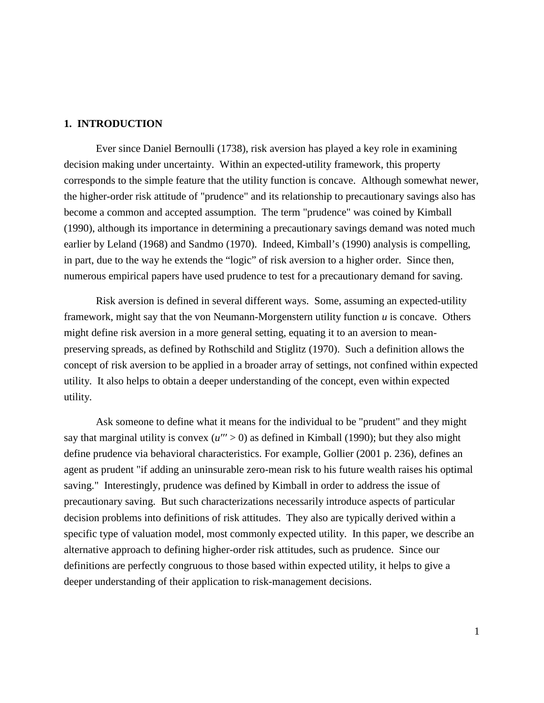# **1. INTRODUCTION**

Ever since Daniel Bernoulli (1738), risk aversion has played a key role in examining decision making under uncertainty. Within an expected-utility framework, this property corresponds to the simple feature that the utility function is concave. Although somewhat newer, the higher-order risk attitude of "prudence" and its relationship to precautionary savings also has become a common and accepted assumption. The term "prudence" was coined by Kimball (1990), although its importance in determining a precautionary savings demand was noted much earlier by Leland (1968) and Sandmo (1970). Indeed, Kimball's (1990) analysis is compelling, in part, due to the way he extends the "logic" of risk aversion to a higher order. Since then, numerous empirical papers have used prudence to test for a precautionary demand for saving.

Risk aversion is defined in several different ways. Some, assuming an expected-utility framework, might say that the von Neumann-Morgenstern utility function *u* is concave. Others might define risk aversion in a more general setting, equating it to an aversion to meanpreserving spreads, as defined by Rothschild and Stiglitz (1970). Such a definition allows the concept of risk aversion to be applied in a broader array of settings, not confined within expected utility. It also helps to obtain a deeper understanding of the concept, even within expected utility.

Ask someone to define what it means for the individual to be "prudent" and they might say that marginal utility is convex  $(u'' > 0)$  as defined in Kimball (1990); but they also might define prudence via behavioral characteristics. For example, Gollier (2001 p. 236), defines an agent as prudent "if adding an uninsurable zero-mean risk to his future wealth raises his optimal saving." Interestingly, prudence was defined by Kimball in order to address the issue of precautionary saving. But such characterizations necessarily introduce aspects of particular decision problems into definitions of risk attitudes. They also are typically derived within a specific type of valuation model, most commonly expected utility. In this paper, we describe an alternative approach to defining higher-order risk attitudes, such as prudence. Since our definitions are perfectly congruous to those based within expected utility, it helps to give a deeper understanding of their application to risk-management decisions.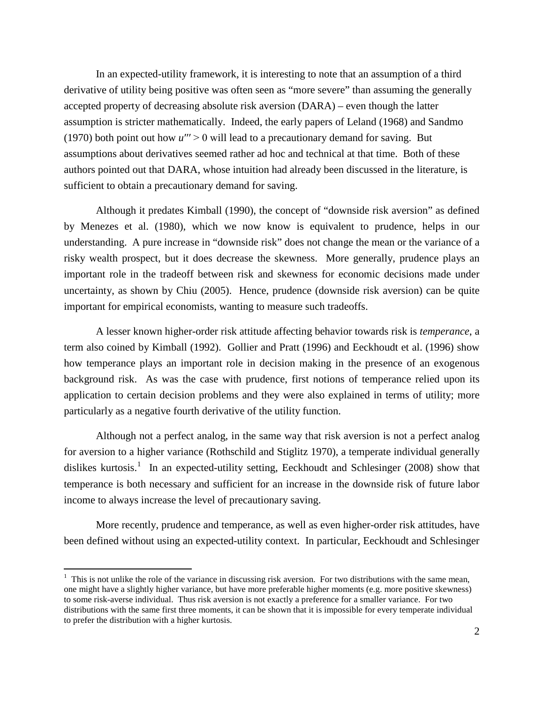In an expected-utility framework, it is interesting to note that an assumption of a third derivative of utility being positive was often seen as "more severe" than assuming the generally accepted property of decreasing absolute risk aversion (DARA) – even though the latter assumption is stricter mathematically. Indeed, the early papers of Leland (1968) and Sandmo (1970) both point out how  $u'' > 0$  will lead to a precautionary demand for saving. But assumptions about derivatives seemed rather ad hoc and technical at that time. Both of these authors pointed out that DARA, whose intuition had already been discussed in the literature, is sufficient to obtain a precautionary demand for saving.

Although it predates Kimball (1990), the concept of "downside risk aversion" as defined by Menezes et al. (1980), which we now know is equivalent to prudence, helps in our understanding. A pure increase in "downside risk" does not change the mean or the variance of a risky wealth prospect, but it does decrease the skewness. More generally, prudence plays an important role in the tradeoff between risk and skewness for economic decisions made under uncertainty, as shown by Chiu (2005). Hence, prudence (downside risk aversion) can be quite important for empirical economists, wanting to measure such tradeoffs.

A lesser known higher-order risk attitude affecting behavior towards risk is *temperance*, a term also coined by Kimball (1992). Gollier and Pratt (1996) and Eeckhoudt et al. (1996) show how temperance plays an important role in decision making in the presence of an exogenous background risk. As was the case with prudence, first notions of temperance relied upon its application to certain decision problems and they were also explained in terms of utility; more particularly as a negative fourth derivative of the utility function.

Although not a perfect analog, in the same way that risk aversion is not a perfect analog for aversion to a higher variance (Rothschild and Stiglitz 1970), a temperate individual generally dislikes kurtosis.<sup>[1](#page-2-0)</sup> In an expected-utility setting, Eeckhoudt and Schlesinger (2008) show that temperance is both necessary and sufficient for an increase in the downside risk of future labor income to always increase the level of precautionary saving.

More recently, prudence and temperance, as well as even higher-order risk attitudes, have been defined without using an expected-utility context. In particular, Eeckhoudt and Schlesinger

<span id="page-2-0"></span> $\frac{1}{1}$  $1$ . This is not unlike the role of the variance in discussing risk aversion. For two distributions with the same mean, one might have a slightly higher variance, but have more preferable higher moments (e.g. more positive skewness) to some risk-averse individual. Thus risk aversion is not exactly a preference for a smaller variance. For two distributions with the same first three moments, it can be shown that it is impossible for every temperate individual to prefer the distribution with a higher kurtosis.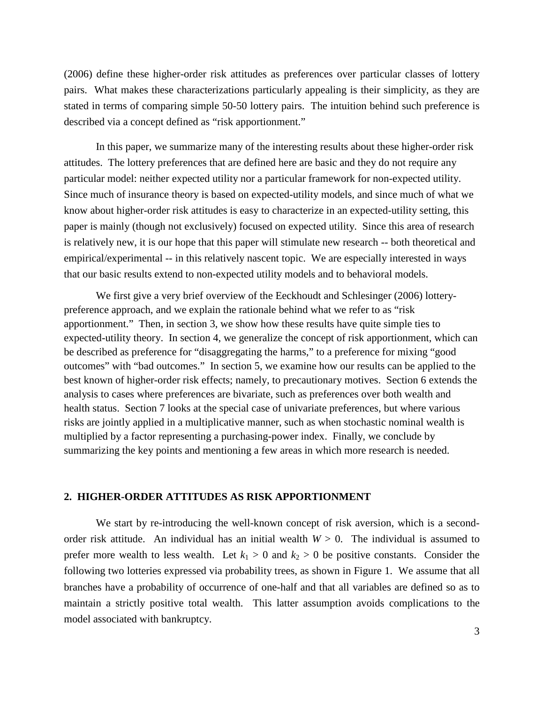(2006) define these higher-order risk attitudes as preferences over particular classes of lottery pairs. What makes these characterizations particularly appealing is their simplicity, as they are stated in terms of comparing simple 50-50 lottery pairs. The intuition behind such preference is described via a concept defined as "risk apportionment."

In this paper, we summarize many of the interesting results about these higher-order risk attitudes. The lottery preferences that are defined here are basic and they do not require any particular model: neither expected utility nor a particular framework for non-expected utility. Since much of insurance theory is based on expected-utility models, and since much of what we know about higher-order risk attitudes is easy to characterize in an expected-utility setting, this paper is mainly (though not exclusively) focused on expected utility. Since this area of research is relatively new, it is our hope that this paper will stimulate new research -- both theoretical and empirical/experimental -- in this relatively nascent topic. We are especially interested in ways that our basic results extend to non-expected utility models and to behavioral models.

We first give a very brief overview of the Eeckhoudt and Schlesinger (2006) lotterypreference approach, and we explain the rationale behind what we refer to as "risk apportionment." Then, in section 3, we show how these results have quite simple ties to expected-utility theory. In section 4, we generalize the concept of risk apportionment, which can be described as preference for "disaggregating the harms," to a preference for mixing "good outcomes" with "bad outcomes." In section 5, we examine how our results can be applied to the best known of higher-order risk effects; namely, to precautionary motives. Section 6 extends the analysis to cases where preferences are bivariate, such as preferences over both wealth and health status. Section 7 looks at the special case of univariate preferences, but where various risks are jointly applied in a multiplicative manner, such as when stochastic nominal wealth is multiplied by a factor representing a purchasing-power index. Finally, we conclude by summarizing the key points and mentioning a few areas in which more research is needed.

# **2. HIGHER-ORDER ATTITUDES AS RISK APPORTIONMENT**

We start by re-introducing the well-known concept of risk aversion, which is a secondorder risk attitude. An individual has an initial wealth  $W > 0$ . The individual is assumed to prefer more wealth to less wealth. Let  $k_1 > 0$  and  $k_2 > 0$  be positive constants. Consider the following two lotteries expressed via probability trees, as shown in Figure 1. We assume that all branches have a probability of occurrence of one-half and that all variables are defined so as to maintain a strictly positive total wealth. This latter assumption avoids complications to the model associated with bankruptcy.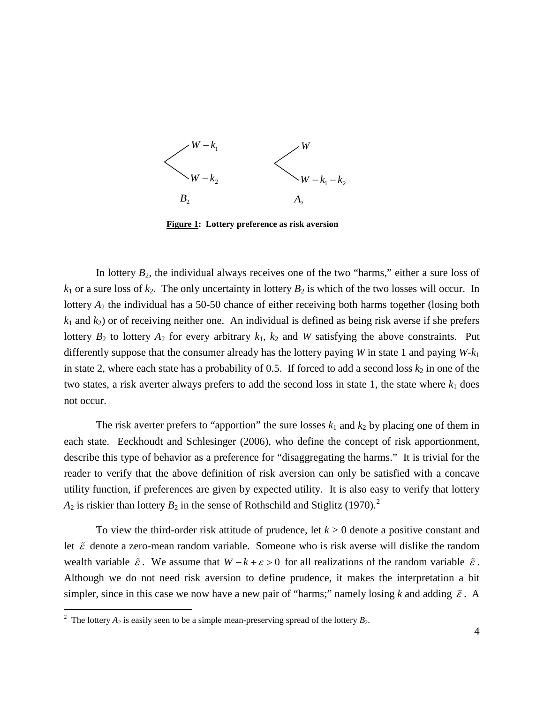

**Figure 1: Lottery preference as risk aversion**

In lottery  $B_2$ , the individual always receives one of the two "harms," either a sure loss of  $k_1$  or a sure loss of  $k_2$ . The only uncertainty in lottery  $B_2$  is which of the two losses will occur. In lottery *A*<sup>2</sup> the individual has a 50-50 chance of either receiving both harms together (losing both  $k_1$  and  $k_2$ ) or of receiving neither one. An individual is defined as being risk averse if she prefers lottery  $B_2$  to lottery  $A_2$  for every arbitrary  $k_1$ ,  $k_2$  and *W* satisfying the above constraints. Put differently suppose that the consumer already has the lottery paying *W* in state 1 and paying *W*-*k*<sup>1</sup> in state 2, where each state has a probability of 0.5. If forced to add a second loss  $k_2$  in one of the two states, a risk averter always prefers to add the second loss in state 1, the state where  $k_1$  does not occur.

The risk averter prefers to "apportion" the sure losses  $k_1$  and  $k_2$  by placing one of them in each state. Eeckhoudt and Schlesinger (2006), who define the concept of risk apportionment, describe this type of behavior as a preference for "disaggregating the harms." It is trivial for the reader to verify that the above definition of risk aversion can only be satisfied with a concave utility function, if preferences are given by expected utility. It is also easy to verify that lottery  $A_2$  $A_2$  is riskier than lottery  $B_2$  in the sense of Rothschild and Stiglitz (1970).<sup>2</sup>

To view the third-order risk attitude of prudence, let *k* > 0 denote a positive constant and let  $\tilde{\varepsilon}$  denote a zero-mean random variable. Someone who is risk averse will dislike the random wealth variable  $\tilde{\varepsilon}$ . We assume that  $W - k + \varepsilon > 0$  for all realizations of the random variable  $\tilde{\varepsilon}$ . Although we do not need risk aversion to define prudence, it makes the interpretation a bit simpler, since in this case we now have a new pair of "harms;" namely losing k and adding  $\tilde{\varepsilon}$ . A

<span id="page-4-0"></span> $\frac{1}{2}$ <sup>2</sup> The lottery  $A_2$  is easily seen to be a simple mean-preserving spread of the lottery  $B_2$ .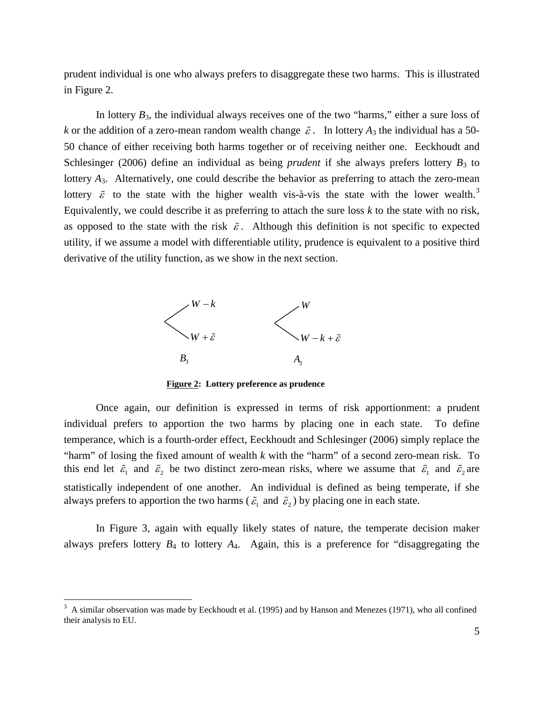prudent individual is one who always prefers to disaggregate these two harms. This is illustrated in Figure 2.

In lottery  $B_3$ , the individual always receives one of the two "harms," either a sure loss of *k* or the addition of a zero-mean random wealth change  $\tilde{\varepsilon}$ . In lottery  $A_3$  the individual has a 50-50 chance of either receiving both harms together or of receiving neither one. Eeckhoudt and Schlesinger (2006) define an individual as being *prudent* if she always prefers lottery  $B_3$  to lottery *A*<sub>3</sub>. Alternatively, one could describe the behavior as preferring to attach the zero-mean lottery  $\tilde{\varepsilon}$  to the state with the higher wealth vis-à-vis the state with the lower wealth.<sup>[3](#page-5-0)</sup> as opposed to the state with the risk  $\tilde{\varepsilon}$ . Although this definition is not specific to expected Equivalently, we could describe it as preferring to attach the sure loss *k* to the state with no risk, utility, if we assume a model with differentiable utility, prudence is equivalent to a positive third derivative of the utility function, as we show in the next section.



**Figure 2: Lottery preference as prudence**

Once again, our definition is expressed in terms of risk apportionment: a prudent individual prefers to apportion the two harms by placing one in each state. To define temperance, which is a fourth-order effect, Eeckhoudt and Schlesinger (2006) simply replace the "harm" of losing the fixed amount of wealth *k* with the "harm" of a second zero-mean risk. To this end let  $\tilde{\varepsilon}_1$  and  $\tilde{\varepsilon}_2$  be two distinct zero-mean risks, where we assume that  $\tilde{\varepsilon}_1$  and  $\tilde{\varepsilon}_2$  are statistically independent of one another. An individual is defined as being temperate, if she always prefers to apportion the two harms ( $\tilde{\varepsilon}_1$  and  $\tilde{\varepsilon}_2$ ) by placing one in each state.

In Figure 3, again with equally likely states of nature, the temperate decision maker always prefers lottery *B*<sup>4</sup> to lottery *A*4. Again, this is a preference for "disaggregating the

<span id="page-5-0"></span><sup>&</sup>lt;sup>2</sup><br>3 A similar observation was made by Eeckhoudt et al. (1995) and by Hanson and Menezes (1971), who all confined their analysis to EU.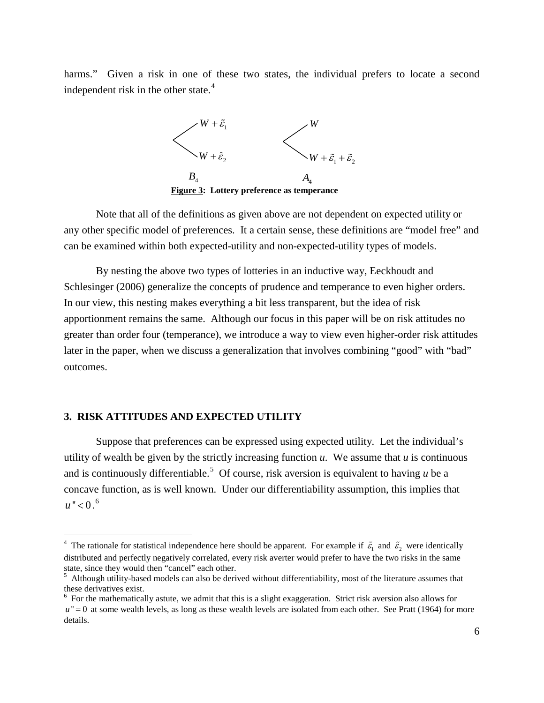harms." Given a risk in one of these two states, the individual prefers to locate a second independent risk in the other state. $4$ 



Note that all of the definitions as given above are not dependent on expected utility or any other specific model of preferences. It a certain sense, these definitions are "model free" and can be examined within both expected-utility and non-expected-utility types of models.

By nesting the above two types of lotteries in an inductive way, Eeckhoudt and Schlesinger (2006) generalize the concepts of prudence and temperance to even higher orders. In our view, this nesting makes everything a bit less transparent, but the idea of risk apportionment remains the same. Although our focus in this paper will be on risk attitudes no greater than order four (temperance), we introduce a way to view even higher-order risk attitudes later in the paper, when we discuss a generalization that involves combining "good" with "bad" outcomes.

# **3. RISK ATTITUDES AND EXPECTED UTILITY**

Suppose that preferences can be expressed using expected utility. Let the individual's utility of wealth be given by the strictly increasing function  $u$ . We assume that  $u$  is continuous and is continuously differentiable.<sup>[5](#page-6-1)</sup> Of course, risk aversion is equivalent to having  $u$  be a  $u$ " < 0.<sup>[6](#page-6-2)</sup> concave function, as is well known. Under our differentiability assumption, this implies that

<span id="page-6-0"></span> $\frac{1}{4}$ <sup>4</sup> The rationale for statistical independence here should be apparent. For example if  $\tilde{\epsilon}_1$  and  $\tilde{\epsilon}_2$  were identically distributed and perfectly negatively correlated, every risk averter would prefer to have the two risks in the same state, since they would then "cancel" each other.

<span id="page-6-1"></span><sup>&</sup>lt;sup>5</sup> Although utility-based models can also be derived without differentiability, most of the literature assumes that these derivatives exist.

<span id="page-6-2"></span><sup>&</sup>lt;sup>6</sup> For the mathematically astute, we admit that this is a slight exaggeration. Strict risk aversion also allows for  $u'' = 0$  at some wealth levels, as long as these wealth levels are isolated from each other. See Pratt (1964) for more details.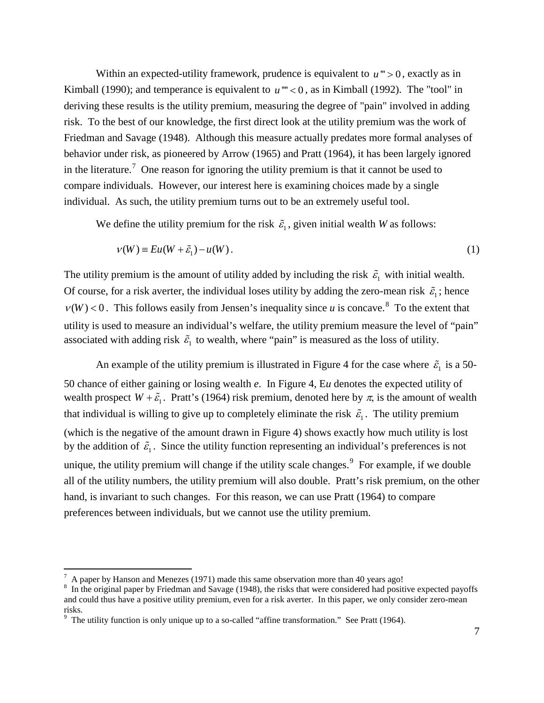Within an expected-utility framework, prudence is equivalent to  $u$ <sup>"'</sup> > 0, exactly as in Kimball (1990); and temperance is equivalent to  $u^{\prime\prime\prime}$  < 0, as in Kimball (1992). The "tool" in deriving these results is the utility premium, measuring the degree of "pain" involved in adding risk. To the best of our knowledge, the first direct look at the utility premium was the work of Friedman and Savage (1948). Although this measure actually predates more formal analyses of behavior under risk, as pioneered by Arrow (1965) and Pratt (1964), it has been largely ignored in the literature.<sup>[7](#page-7-0)</sup> One reason for ignoring the utility premium is that it cannot be used to compare individuals. However, our interest here is examining choices made by a single individual. As such, the utility premium turns out to be an extremely useful tool.

We define the utility premium for the risk  $\tilde{\varepsilon}_1$ , given initial wealth *W* as follows:

$$
\nu(W) \equiv Eu(W + \tilde{\varepsilon}_1) - u(W). \tag{1}
$$

The utility premium is the amount of utility added by including the risk  $\tilde{\varepsilon}_1$  with initial wealth. Of course, for a risk averter, the individual loses utility by adding the zero-mean risk  $\tilde{\varepsilon}_i$ ; hence  $v(W)$  < 0. This follows easily from Jensen's inequality since *u* is concave.<sup>[8](#page-7-1)</sup> To the extent that associated with adding risk  $\tilde{\varepsilon}_1$  to wealth, where "pain" is measured as the loss of utility. utility is used to measure an individual's welfare, the utility premium measure the level of "pain"

An example of the utility premium is illustrated in Figure 4 for the case where  $\tilde{\varepsilon}_i$  is a 50-50 chance of either gaining or losing wealth *e*. In Figure 4, E*u* denotes the expected utility of wealth prospect  $W + \tilde{\varepsilon}_1$ . Pratt's (1964) risk premium, denoted here by  $\pi$ , is the amount of wealth that individual is willing to give up to completely eliminate the risk  $\tilde{\varepsilon}_1$ . The utility premium (which is the negative of the amount drawn in Figure 4) shows exactly how much utility is lost by the addition of  $\tilde{\epsilon}_1$ . Since the utility function representing an individual's preferences is not unique, the utility premium will change if the utility scale changes.  $9$  For example, if we double all of the utility numbers, the utility premium will also double. Pratt's risk premium, on the other hand, is invariant to such changes. For this reason, we can use Pratt (1964) to compare preferences between individuals, but we cannot use the utility premium.

<span id="page-7-0"></span><sup>-&</sup>lt;br>7 A paper by Hanson and Menezes (1971) made this same observation more than 40 years ago!

<span id="page-7-1"></span><sup>&</sup>lt;sup>8</sup> In the original paper by Friedman and Savage (1948), the risks that were considered had positive expected payoffs and could thus have a positive utility premium, even for a risk averter. In this paper, we only consider zero-mean risks.

<span id="page-7-2"></span> $9$  The utility function is only unique up to a so-called "affine transformation." See Pratt (1964).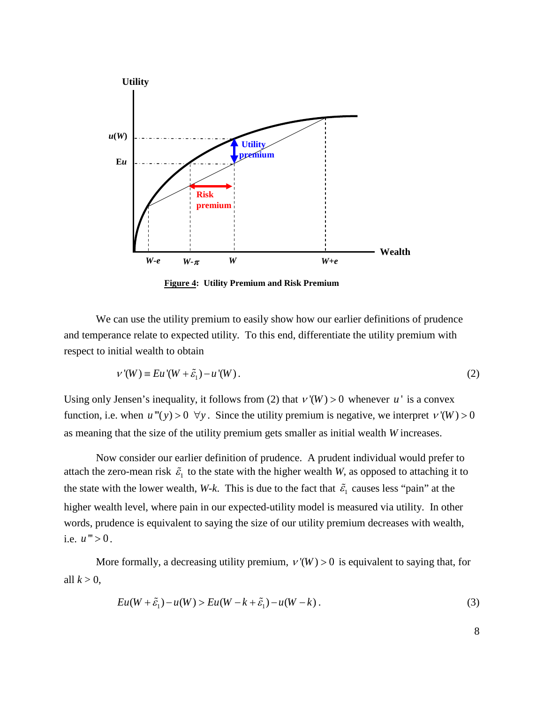

**Figure 4: Utility Premium and Risk Premium**

We can use the utility premium to easily show how our earlier definitions of prudence and temperance relate to expected utility. To this end, differentiate the utility premium with respect to initial wealth to obtain

$$
v'(W) \equiv Eu'(W + \tilde{\varepsilon}_1) - u'(W). \tag{2}
$$

Using only Jensen's inequality, it follows from (2) that  $v'(W) > 0$  whenever *u*<sup> $\cdot$ </sup> is a convex function, i.e. when  $u''(y) > 0 \ \forall y$ . Since the utility premium is negative, we interpret  $v'(W) > 0$ as meaning that the size of the utility premium gets smaller as initial wealth *W* increases.

Now consider our earlier definition of prudence. A prudent individual would prefer to attach the zero-mean risk  $\tilde{\varepsilon}_1$  to the state with the higher wealth *W*, as opposed to attaching it to the state with the lower wealth, *W-k*. This is due to the fact that  $\tilde{\varepsilon}_1$  causes less "pain" at the higher wealth level, where pain in our expected-utility model is measured via utility. In other words, prudence is equivalent to saying the size of our utility premium decreases with wealth, i.e.  $u^{\prime\prime\prime} > 0$ .

More formally, a decreasing utility premium,  $v'(W) > 0$  is equivalent to saying that, for all  $k > 0$ ,

$$
Eu(W + \tilde{\varepsilon}_1) - u(W) > Eu(W - k + \tilde{\varepsilon}_1) - u(W - k).
$$
\n(3)

8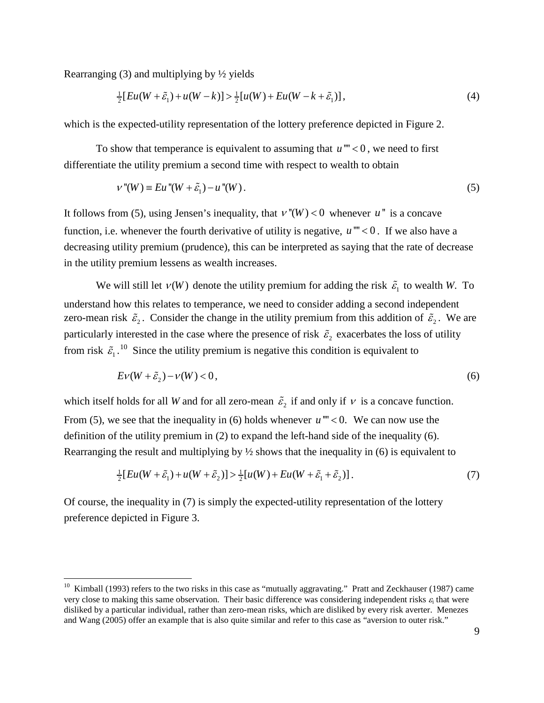Rearranging (3) and multiplying by ½ yields

$$
\frac{1}{2}[Eu(W + \tilde{\varepsilon}_1) + u(W - k)] > \frac{1}{2}[u(W) + Eu(W - k + \tilde{\varepsilon}_1)],
$$
\n(4)

which is the expected-utility representation of the lottery preference depicted in Figure 2.

To show that temperance is equivalent to assuming that  $u^{\prime\prime\prime}$  < 0, we need to first differentiate the utility premium a second time with respect to wealth to obtain

$$
v''(W) \equiv Eu''(W + \tilde{\varepsilon}_1) - u''(W). \tag{5}
$$

It follows from (5), using Jensen's inequality, that  $v''(W) < 0$  whenever  $u''$  is a concave function, i.e. whenever the fourth derivative of utility is negative,  $u^{\prime\prime\prime}$  < 0. If we also have a decreasing utility premium (prudence), this can be interpreted as saying that the rate of decrease in the utility premium lessens as wealth increases.

We will still let  $v(W)$  denote the utility premium for adding the risk  $\tilde{\varepsilon}_1$  to wealth *W*. To understand how this relates to temperance, we need to consider adding a second independent zero-mean risk  $\tilde{\varepsilon}_2$ . Consider the change in the utility premium from this addition of  $\tilde{\varepsilon}_2$ . We are particularly interested in the case where the presence of risk  $\tilde{\varepsilon}_2$  exacerbates the loss of utility from risk  $\tilde{\epsilon}_1$ .<sup>[10](#page-9-0)</sup> Since the utility premium is negative this condition is equivalent to

$$
Ev(W + \tilde{\varepsilon}_2) - v(W) < 0,\tag{6}
$$

which itself holds for all *W* and for all zero-mean  $\tilde{\varepsilon}_2$  if and only if  $\nu$  is a concave function. From (5), we see that the inequality in (6) holds whenever  $u'''<0$ . We can now use the definition of the utility premium in (2) to expand the left-hand side of the inequality (6). Rearranging the result and multiplying by  $\frac{1}{2}$  shows that the inequality in (6) is equivalent to

$$
\frac{1}{2}[Eu(W + \tilde{\varepsilon}_1) + u(W + \tilde{\varepsilon}_2)] > \frac{1}{2}[u(W) + Eu(W + \tilde{\varepsilon}_1 + \tilde{\varepsilon}_2)].
$$
\n(7)

Of course, the inequality in (7) is simply the expected-utility representation of the lottery preference depicted in Figure 3.

<span id="page-9-0"></span> $10$  Kimball (1993) refers to the two risks in this case as "mutually aggravating." Pratt and Zeckhauser (1987) came very close to making this same observation. Their basic difference was considering independent risks  $\varepsilon_i$  that were disliked by a particular individual, rather than zero-mean risks, which are disliked by every risk averter. Menezes and Wang (2005) offer an example that is also quite similar and refer to this case as "aversion to outer risk."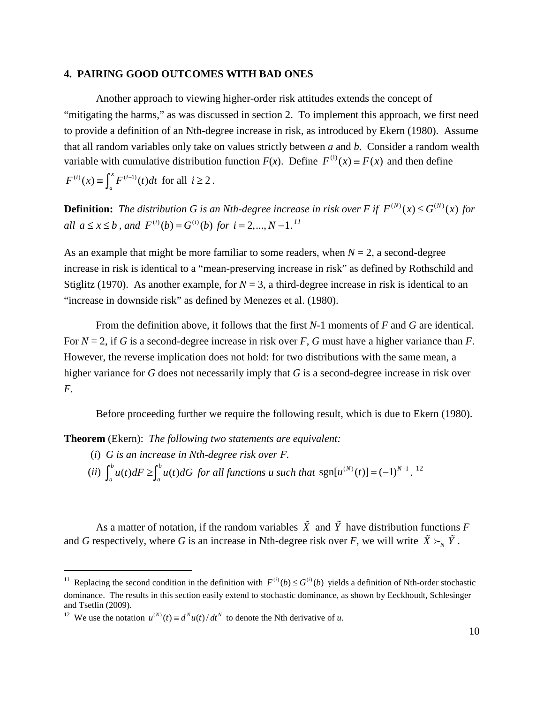#### **4. PAIRING GOOD OUTCOMES WITH BAD ONES**

Another approach to viewing higher-order risk attitudes extends the concept of "mitigating the harms," as was discussed in section 2. To implement this approach, we first need to provide a definition of an Nth-degree increase in risk, as introduced by Ekern (1980). Assume that all random variables only take on values strictly between *a* and *b*. Consider a random wealth variable with cumulative distribution function  $F(x)$ . Define  $F^{(1)}(x) = F(x)$  and then define  $F^{(i)}(x) \equiv \int_a^x F^{(i-1)}(t) dt$  for all  $i \ge 2$ .

**Definition:** The distribution G is an Nth-degree increase in risk over F if  $F^{(N)}(x) \leq G^{(N)}(x)$  for *all*  $a \le x \le b$ , and  $F^{(i)}(b) = G^{(i)}(b)$  for  $i = 2,..., N-1$ .<sup>[11](#page-10-0)</sup>

As an example that might be more familiar to some readers, when  $N = 2$ , a second-degree increase in risk is identical to a "mean-preserving increase in risk" as defined by Rothschild and Stiglitz (1970). As another example, for  $N = 3$ , a third-degree increase in risk is identical to an "increase in downside risk" as defined by Menezes et al. (1980).

From the definition above, it follows that the first *N*-1 moments of *F* and *G* are identical. For *N* = 2, if *G* is a second-degree increase in risk over *F*, *G* must have a higher variance than *F*. However, the reverse implication does not hold: for two distributions with the same mean, a higher variance for *G* does not necessarily imply that *G* is a second-degree increase in risk over *F*.

Before proceeding further we require the following result, which is due to Ekern (1980).

**Theorem** (Ekern): *The following two statements are equivalent:*

- (*i*) *G is an increase in Nth-degree risk over F.*
- $(ii)$   $\int_{0}^{b} u(t) dF \ge \int_{0}^{b} u(t)$  $\int_{a}^{b} u(t) dF \ge \int_{a}^{b} u(t) dG$  for all functions u such that  $sgn[u^{(N)}(t)] = (-1)^{N+1}$ . <sup>[12](#page-10-1)</sup>

As a matter of notation, if the random variables  $\tilde{X}$  and  $\tilde{Y}$  have distribution functions *F* and *G* respectively, where *G* is an increase in Nth-degree risk over *F*, we will write  $\tilde{X} \succ_{N} \tilde{Y}$ .

<span id="page-10-0"></span><sup>&</sup>lt;sup>11</sup> Replacing the second condition in the definition with  $F^{(i)}(b) \leq G^{(i)}(b)$  yields a definition of Nth-order stochastic dominance. The results in this section easily extend to stochastic dominance, as shown by Eeckhoudt, Schlesinger and Tsetlin (2009).

<span id="page-10-1"></span><sup>&</sup>lt;sup>12</sup> We use the notation  $u^{(N)}(t) \equiv d^{N}u(t)/dt^{N}$  to denote the Nth derivative of *u*.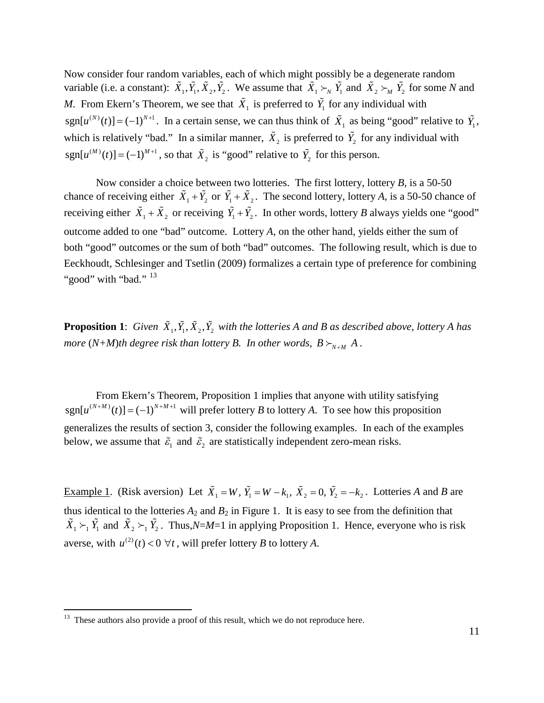Now consider four random variables, each of which might possibly be a degenerate random variable (i.e. a constant):  $\tilde{X}_1, \tilde{Y}_1, \tilde{X}_2, \tilde{Y}_2$ . We assume that  $\tilde{X}_1 \succ_N \tilde{Y}_1$  and  $\tilde{X}_2 \succ_M \tilde{Y}_2$  for some *N* and *M*. From Ekern's Theorem, we see that  $\tilde{X}_1$  is preferred to  $\tilde{Y}_1$  for any individual with  $sgn[u^{(N)}(t)] = (-1)^{N+1}$ . In a certain sense, we can thus think of  $\tilde{X}_1$  as being "good" relative to  $\tilde{Y}_1$ , which is relatively "bad." In a similar manner,  $\tilde{X}_2$  is preferred to  $\tilde{Y}_2$  for any individual with  $sgn[u^{(M)}(t)] = (-1)^{M+1}$ , so that  $\tilde{X}_2$  is "good" relative to  $\tilde{Y}_2$  for this person.

Now consider a choice between two lotteries. The first lottery, lottery *B*, is a 50-50 chance of receiving either  $\tilde{X}_1 + \tilde{Y}_2$  or  $\tilde{Y}_1 + \tilde{X}_2$ . The second lottery, lottery *A*, is a 50-50 chance of receiving either  $\tilde{X}_1 + \tilde{X}_2$  or receiving  $\tilde{Y}_1 + \tilde{Y}_2$ . In other words, lottery *B* always yields one "good" outcome added to one "bad" outcome. Lottery *A*, on the other hand, yields either the sum of both "good" outcomes or the sum of both "bad" outcomes. The following result, which is due to Eeckhoudt, Schlesinger and Tsetlin (2009) formalizes a certain type of preference for combining "good" with "bad." <sup>[13](#page-11-0)</sup>

**Proposition 1**: *Given*  $\tilde{X}_1, \tilde{Y}_1, \tilde{X}_2, \tilde{Y}_2$  *with the lotteries A and B as described above, lottery A has more*  $(N+M)$ *th degree risk than lottery B. In other words,*  $B \succ_{N+M} A$ *.* 

From Ekern's Theorem, Proposition 1 implies that anyone with utility satisfying  $sgn[u^{(N+M)}(t)] = (-1)^{N+M+1}$  will prefer lottery *B* to lottery *A*. To see how this proposition generalizes the results of section 3, consider the following examples. In each of the examples below, we assume that  $\tilde{\varepsilon}_1$  and  $\tilde{\varepsilon}_2$  are statistically independent zero-mean risks.

Example 1. (Risk aversion) Let  $\tilde{X}_1 = W$ ,  $\tilde{Y}_1 = W - k_1$ ,  $\tilde{X}_2 = 0$ ,  $\tilde{Y}_2 = -k_2$ . Lotteries *A* and *B* are thus identical to the lotteries  $A_2$  and  $B_2$  in Figure 1. It is easy to see from the definition that  $\tilde{X}_1 \succ_1 \tilde{Y}_1$  and  $\tilde{X}_2 \succ_1 \tilde{Y}_2$ . Thus, *N=M*=1 in applying Proposition 1. Hence, everyone who is risk averse, with  $u^{(2)}(t) < 0 \ \forall t$ , will prefer lottery *B* to lottery *A*.

<span id="page-11-0"></span><sup>&</sup>lt;sup>13</sup> These authors also provide a proof of this result, which we do not reproduce here.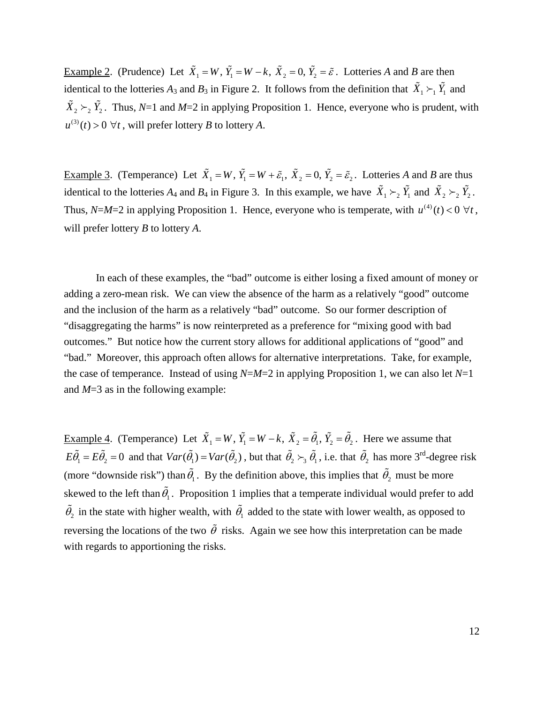<u>Example 2</u>. (Prudence) Let  $\tilde{X}_1 = W$ ,  $\tilde{Y}_1 = W - k$ ,  $\tilde{X}_2 = 0$ ,  $\tilde{Y}_2 = \tilde{\varepsilon}$ . Lotteries *A* and *B* are then identical to the lotteries  $A_3$  and  $B_3$  in Figure 2. It follows from the definition that  $\tilde{X}_1 \succ_1 \tilde{Y}_1$  and  $\tilde{X}_2 \succ_2 \tilde{Y}_2$ . Thus, *N*=1 and *M*=2 in applying Proposition 1. Hence, everyone who is prudent, with  $u^{(3)}(t) > 0 \ \forall t$ , will prefer lottery *B* to lottery *A*.

Example 3. (Temperance) Let  $\tilde{X}_1 = W$ ,  $\tilde{Y}_1 = W + \tilde{\varepsilon}_1$ ,  $\tilde{X}_2 = 0$ ,  $\tilde{Y}_2 = \tilde{\varepsilon}_2$ . Lotteries *A* and *B* are thus identical to the lotteries  $A_4$  and  $B_4$  in Figure 3. In this example, we have  $\tilde{X}_1 \succ_2 \tilde{Y}_1$  and  $\tilde{X}_2 \succ_2 \tilde{Y}_2$ . Thus, *N*=*M*=2 in applying Proposition 1. Hence, everyone who is temperate, with  $u^{(4)}(t) < 0 \ \forall t$ , will prefer lottery *B* to lottery *A*.

In each of these examples, the "bad" outcome is either losing a fixed amount of money or adding a zero-mean risk. We can view the absence of the harm as a relatively "good" outcome and the inclusion of the harm as a relatively "bad" outcome. So our former description of "disaggregating the harms" is now reinterpreted as a preference for "mixing good with bad outcomes." But notice how the current story allows for additional applications of "good" and "bad." Moreover, this approach often allows for alternative interpretations. Take, for example, the case of temperance. Instead of using  $N=M=2$  in applying Proposition 1, we can also let  $N=1$ and *M*=3 as in the following example:

Example 4. (Temperance) Let  $\tilde{X}_1 = W$ ,  $\tilde{Y}_1 = W - k$ ,  $\tilde{X}_2 = \tilde{\theta}_1$ ,  $\tilde{Y}_2 = \tilde{\theta}_2$ . Here we assume that  $E\tilde{\theta}_1 = E\tilde{\theta}_2 = 0$  and that  $Var(\tilde{\theta}_1) = Var(\tilde{\theta}_2)$ , but that  $\tilde{\theta}_2 \succ_3 \tilde{\theta}_1$ , i.e. that  $\tilde{\theta}_2$  has more 3<sup>rd</sup>-degree risk (more "downside risk") than  $\tilde{\theta}_1$ . By the definition above, this implies that  $\tilde{\theta}_2$  must be more skewed to the left than  $\tilde{\theta_1}$ . Proposition 1 implies that a temperate individual would prefer to add  $\tilde{\theta}_2$  in the state with higher wealth, with  $\tilde{\theta}_1$  added to the state with lower wealth, as opposed to reversing the locations of the two  $\tilde{\theta}$  risks. Again we see how this interpretation can be made with regards to apportioning the risks.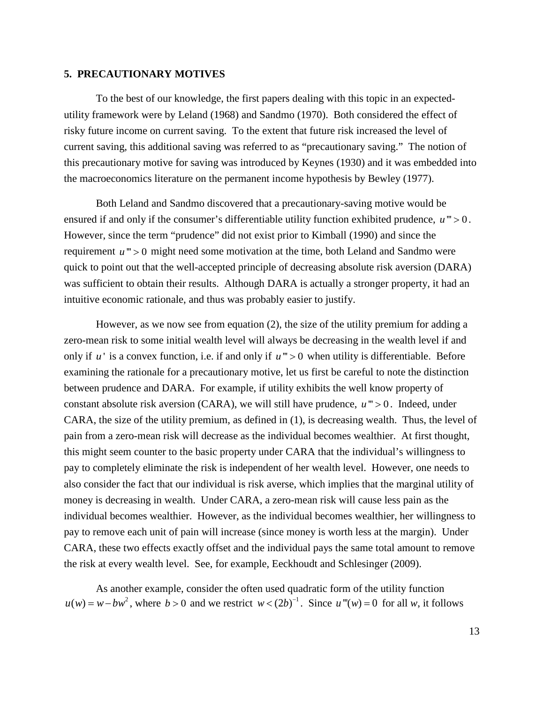## **5. PRECAUTIONARY MOTIVES**

To the best of our knowledge, the first papers dealing with this topic in an expectedutility framework were by Leland (1968) and Sandmo (1970). Both considered the effect of risky future income on current saving. To the extent that future risk increased the level of current saving, this additional saving was referred to as "precautionary saving." The notion of this precautionary motive for saving was introduced by Keynes (1930) and it was embedded into the macroeconomics literature on the permanent income hypothesis by Bewley (1977).

Both Leland and Sandmo discovered that a precautionary-saving motive would be ensured if and only if the consumer's differentiable utility function exhibited prudence,  $u$  "'  $> 0$ . However, since the term "prudence" did not exist prior to Kimball (1990) and since the requirement  $u$  "' > 0 might need some motivation at the time, both Leland and Sandmo were quick to point out that the well-accepted principle of decreasing absolute risk aversion (DARA) was sufficient to obtain their results. Although DARA is actually a stronger property, it had an intuitive economic rationale, and thus was probably easier to justify.

However, as we now see from equation (2), the size of the utility premium for adding a zero-mean risk to some initial wealth level will always be decreasing in the wealth level if and only if  $u'$  is a convex function, i.e. if and only if  $u''>0$  when utility is differentiable. Before examining the rationale for a precautionary motive, let us first be careful to note the distinction between prudence and DARA. For example, if utility exhibits the well know property of constant absolute risk aversion (CARA), we will still have prudence,  $u$ " $> 0$ . Indeed, under CARA, the size of the utility premium, as defined in (1), is decreasing wealth. Thus, the level of pain from a zero-mean risk will decrease as the individual becomes wealthier. At first thought, this might seem counter to the basic property under CARA that the individual's willingness to pay to completely eliminate the risk is independent of her wealth level. However, one needs to also consider the fact that our individual is risk averse, which implies that the marginal utility of money is decreasing in wealth. Under CARA, a zero-mean risk will cause less pain as the individual becomes wealthier. However, as the individual becomes wealthier, her willingness to pay to remove each unit of pain will increase (since money is worth less at the margin). Under CARA, these two effects exactly offset and the individual pays the same total amount to remove the risk at every wealth level. See, for example, Eeckhoudt and Schlesinger (2009).

As another example, consider the often used quadratic form of the utility function  $u(w) = w - bw^2$ , where  $b > 0$  and we restrict  $w < (2b)^{-1}$ . Since  $u'''(w) = 0$  for all w, it follows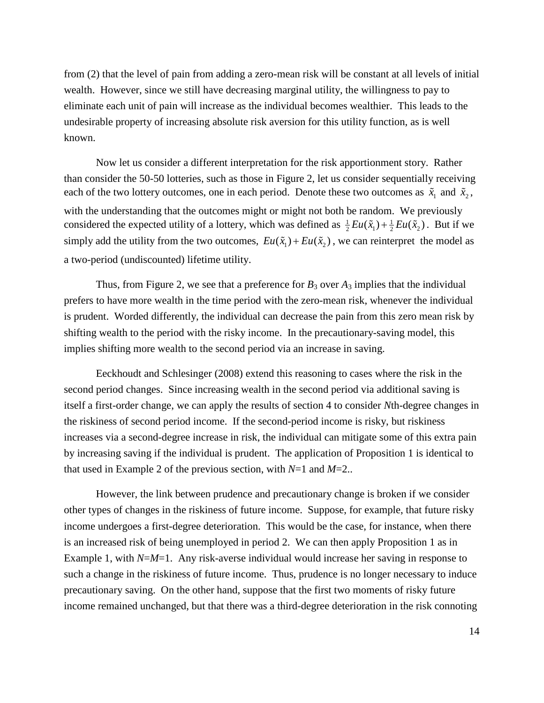from (2) that the level of pain from adding a zero-mean risk will be constant at all levels of initial wealth. However, since we still have decreasing marginal utility, the willingness to pay to eliminate each unit of pain will increase as the individual becomes wealthier. This leads to the undesirable property of increasing absolute risk aversion for this utility function, as is well known.

Now let us consider a different interpretation for the risk apportionment story. Rather than consider the 50-50 lotteries, such as those in Figure 2, let us consider sequentially receiving each of the two lottery outcomes, one in each period. Denote these two outcomes as  $\tilde{x}_1$  and  $\tilde{x}_2$ , with the understanding that the outcomes might or might not both be random. We previously considered the expected utility of a lottery, which was defined as  $\frac{1}{2} E u(\tilde{x}_1) + \frac{1}{2} E u(\tilde{x}_2)$ . But if we simply add the utility from the two outcomes,  $Eu(\tilde{x}_1) + Eu(\tilde{x}_2)$ , we can reinterpret the model as a two-period (undiscounted) lifetime utility.

Thus, from Figure 2, we see that a preference for  $B_3$  over  $A_3$  implies that the individual prefers to have more wealth in the time period with the zero-mean risk, whenever the individual is prudent. Worded differently, the individual can decrease the pain from this zero mean risk by shifting wealth to the period with the risky income. In the precautionary-saving model, this implies shifting more wealth to the second period via an increase in saving.

Eeckhoudt and Schlesinger (2008) extend this reasoning to cases where the risk in the second period changes. Since increasing wealth in the second period via additional saving is itself a first-order change, we can apply the results of section 4 to consider *N*th-degree changes in the riskiness of second period income. If the second-period income is risky, but riskiness increases via a second-degree increase in risk, the individual can mitigate some of this extra pain by increasing saving if the individual is prudent. The application of Proposition 1 is identical to that used in Example 2 of the previous section, with *N*=1 and *M*=2..

However, the link between prudence and precautionary change is broken if we consider other types of changes in the riskiness of future income. Suppose, for example, that future risky income undergoes a first-degree deterioration. This would be the case, for instance, when there is an increased risk of being unemployed in period 2. We can then apply Proposition 1 as in Example 1, with *N=M=*1. Any risk-averse individual would increase her saving in response to such a change in the riskiness of future income. Thus, prudence is no longer necessary to induce precautionary saving. On the other hand, suppose that the first two moments of risky future income remained unchanged, but that there was a third-degree deterioration in the risk connoting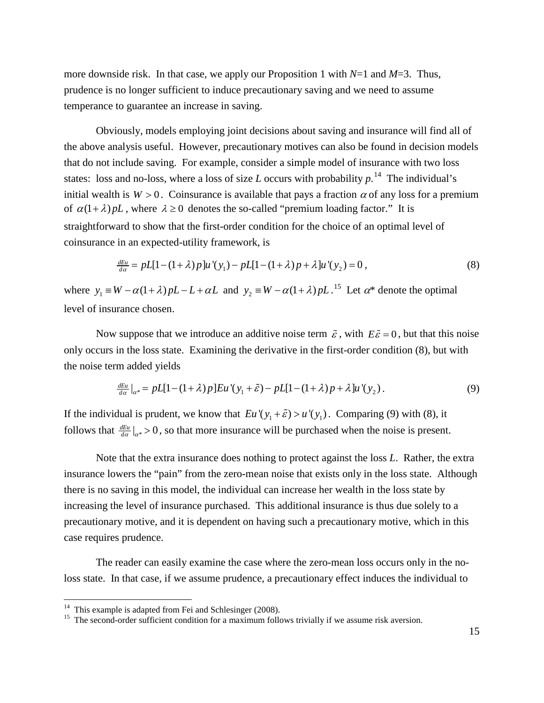more downside risk. In that case, we apply our Proposition 1 with *N*=1 and *M*=3. Thus, prudence is no longer sufficient to induce precautionary saving and we need to assume temperance to guarantee an increase in saving.

Obviously, models employing joint decisions about saving and insurance will find all of the above analysis useful. However, precautionary motives can also be found in decision models that do not include saving. For example, consider a simple model of insurance with two loss states: loss and no-loss, where a loss of size *L* occurs with probability  $p^{14}$  $p^{14}$  $p^{14}$ . The individual's initial wealth is  $W > 0$ . Coinsurance is available that pays a fraction  $\alpha$  of any loss for a premium of  $\alpha(1+\lambda) pL$ , where  $\lambda \ge 0$  denotes the so-called "premium loading factor." It is straightforward to show that the first-order condition for the choice of an optimal level of coinsurance in an expected-utility framework, is

$$
\frac{dE_u}{da} = pL[1-(1+\lambda)p]u'(y_1) - pL[1-(1+\lambda)p + \lambda]u'(y_2) = 0,
$$
\n(8)

where  $y_1 \equiv W - \alpha(1 + \lambda)pL - L + \alpha L$  and  $y_2 \equiv W - \alpha(1 + \lambda)pL$ .<sup>[15](#page-15-1)</sup> Let  $\alpha^*$  denote the optimal level of insurance chosen.

Now suppose that we introduce an additive noise term  $\tilde{\varepsilon}$ , with  $E\tilde{\varepsilon} = 0$ , but that this noise only occurs in the loss state. Examining the derivative in the first-order condition (8), but with the noise term added yields

$$
\frac{dE_u}{da}\big|_{\alpha^*} = pL[1-(1+\lambda)p]Eu'(y_1+\tilde{\varepsilon}) - pL[1-(1+\lambda)p+\lambda]u'(y_2). \tag{9}
$$

If the individual is prudent, we know that  $Eu'(y_1 + \tilde{\varepsilon}) > u'(y_1)$ . Comparing (9) with (8), it follows that  $\frac{dE_u}{d\alpha}|_{\alpha^*} > 0$ , so that more insurance will be purchased when the noise is present.

Note that the extra insurance does nothing to protect against the loss *L*. Rather, the extra insurance lowers the "pain" from the zero-mean noise that exists only in the loss state. Although there is no saving in this model, the individual can increase her wealth in the loss state by increasing the level of insurance purchased. This additional insurance is thus due solely to a precautionary motive, and it is dependent on having such a precautionary motive, which in this case requires prudence.

The reader can easily examine the case where the zero-mean loss occurs only in the noloss state. In that case, if we assume prudence, a precautionary effect induces the individual to

<span id="page-15-1"></span>

<span id="page-15-0"></span><sup>&</sup>lt;sup>14</sup> This example is adapted from Fei and Schlesinger (2008).<br><sup>15</sup> The second-order sufficient condition for a maximum follows trivially if we assume risk aversion.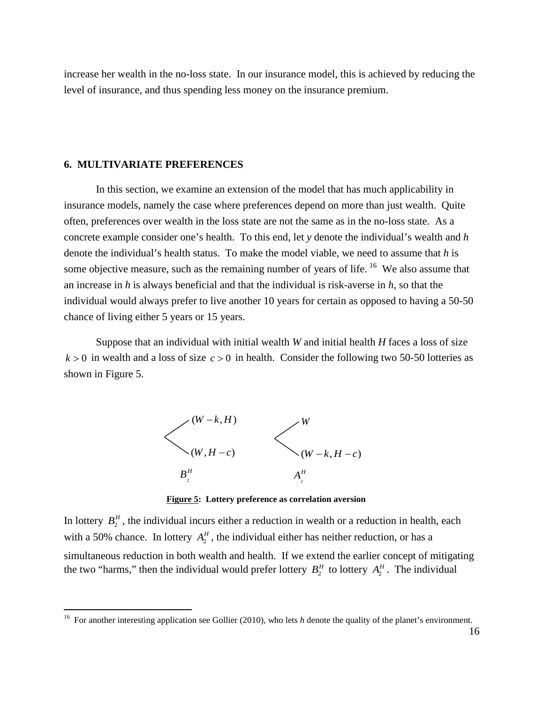increase her wealth in the no-loss state. In our insurance model, this is achieved by reducing the level of insurance, and thus spending less money on the insurance premium.

#### **6. MULTIVARIATE PREFERENCES**

In this section, we examine an extension of the model that has much applicability in insurance models, namely the case where preferences depend on more than just wealth. Quite often, preferences over wealth in the loss state are not the same as in the no-loss state. As a concrete example consider one's health. To this end, let *y* denote the individual's wealth and *h* denote the individual's health status. To make the model viable, we need to assume that *h* is some objective measure, such as the remaining number of years of life. <sup>[16](#page-16-0)</sup> We also assume that an increase in *h* is always beneficial and that the individual is risk-averse in *h*, so that the individual would always prefer to live another 10 years for certain as opposed to having a 50-50 chance of living either 5 years or 15 years.

Suppose that an individual with initial wealth *W* and initial health *H* faces a loss of size  $k > 0$  in wealth and a loss of size  $c > 0$  in health. Consider the following two 50-50 lotteries as shown in Figure 5.



**Figure 5: Lottery preference as correlation aversion**

In lottery  $B_2^H$ , the individual incurs either a reduction in wealth or a reduction in health, each with a 50% chance. In lottery  $A_2^H$ , the individual either has neither reduction, or has a simultaneous reduction in both wealth and health. If we extend the earlier concept of mitigating the two "harms," then the individual would prefer lottery  $B_2^H$  to lottery  $A_2^H$ . The individual

<span id="page-16-0"></span><sup>&</sup>lt;sup>16</sup> For another interesting application see Gollier (2010), who lets *h* denote the quality of the planet's environment.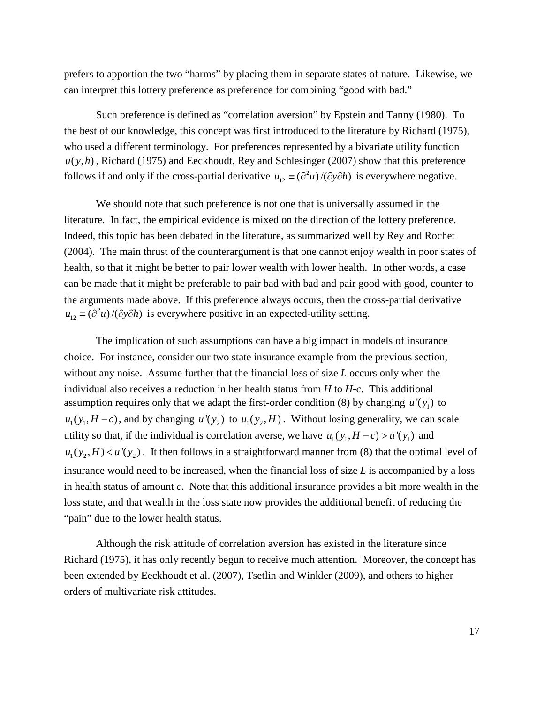prefers to apportion the two "harms" by placing them in separate states of nature. Likewise, we can interpret this lottery preference as preference for combining "good with bad."

Such preference is defined as "correlation aversion" by Epstein and Tanny (1980). To the best of our knowledge, this concept was first introduced to the literature by Richard (1975), who used a different terminology. For preferences represented by a bivariate utility function  $u(y,h)$ , Richard (1975) and Eeckhoudt, Rey and Schlesinger (2007) show that this preference follows if and only if the cross-partial derivative  $u_{12} \equiv (\partial^2 u) / (\partial y \partial h)$  is everywhere negative.

We should note that such preference is not one that is universally assumed in the literature. In fact, the empirical evidence is mixed on the direction of the lottery preference. Indeed, this topic has been debated in the literature, as summarized well by Rey and Rochet (2004). The main thrust of the counterargument is that one cannot enjoy wealth in poor states of health, so that it might be better to pair lower wealth with lower health. In other words, a case can be made that it might be preferable to pair bad with bad and pair good with good, counter to the arguments made above. If this preference always occurs, then the cross-partial derivative  $u_{12} \equiv (\partial^2 u) / (\partial y \partial h)$  is everywhere positive in an expected-utility setting.

The implication of such assumptions can have a big impact in models of insurance choice. For instance, consider our two state insurance example from the previous section, without any noise. Assume further that the financial loss of size *L* occurs only when the individual also receives a reduction in her health status from *H* to *H-c*. This additional assumption requires only that we adapt the first-order condition (8) by changing  $u'(y_1)$  to  $u_1(y_1, H - c)$ , and by changing  $u'(y_2)$  to  $u_1(y_2, H)$ . Without losing generality, we can scale utility so that, if the individual is correlation averse, we have  $u_1(y_1, H - c) > u'(y_1)$  and  $u_1(y_2, H) < u'(y_2)$ . It then follows in a straightforward manner from (8) that the optimal level of insurance would need to be increased, when the financial loss of size *L* is accompanied by a loss in health status of amount *c*. Note that this additional insurance provides a bit more wealth in the loss state, and that wealth in the loss state now provides the additional benefit of reducing the "pain" due to the lower health status.

Although the risk attitude of correlation aversion has existed in the literature since Richard (1975), it has only recently begun to receive much attention. Moreover, the concept has been extended by Eeckhoudt et al. (2007), Tsetlin and Winkler (2009), and others to higher orders of multivariate risk attitudes.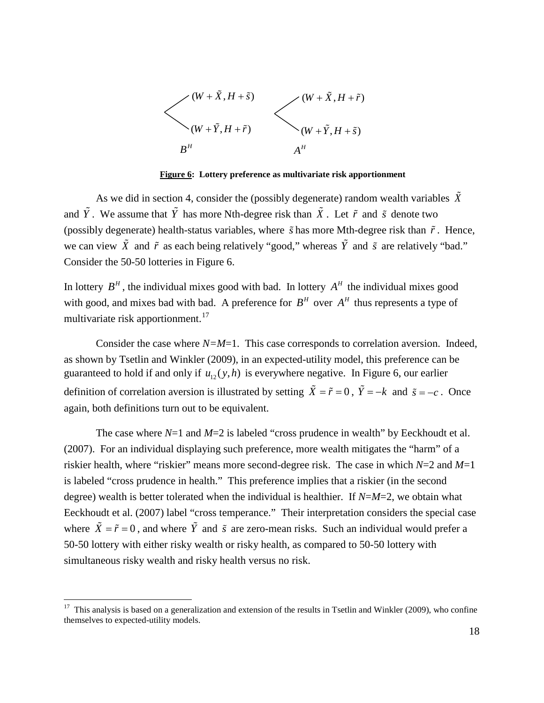

**Figure 6: Lottery preference as multivariate risk apportionment**

As we did in section 4, consider the (possibly degenerate) random wealth variables  $\tilde{X}$ and  $\tilde{Y}$ . We assume that  $\tilde{Y}$  has more Nth-degree risk than  $\tilde{X}$ . Let  $\tilde{r}$  and  $\tilde{s}$  denote two (possibly degenerate) health-status variables, where *s* has more Mth-degree risk than *r*. Hence, we can view  $\tilde{X}$  and  $\tilde{r}$  as each being relatively "good," whereas  $\tilde{Y}$  and  $\tilde{s}$  are relatively "bad." Consider the 50-50 lotteries in Figure 6.

In lottery  $B<sup>H</sup>$ , the individual mixes good with bad. In lottery  $A<sup>H</sup>$  the individual mixes good with good, and mixes bad with bad. A preference for  $B<sup>H</sup>$  over  $A<sup>H</sup>$  thus represents a type of multivariate risk apportionment.<sup>[17](#page-18-0)</sup>

Consider the case where  $N=M=1$ . This case corresponds to correlation aversion. Indeed, as shown by Tsetlin and Winkler (2009), in an expected-utility model, this preference can be guaranteed to hold if and only if  $u_{12}(y,h)$  is everywhere negative. In Figure 6, our earlier definition of correlation aversion is illustrated by setting  $\tilde{X} = \tilde{r} = 0$ ,  $\tilde{Y} = -k$  and  $\tilde{s} = -c$ . Once again, both definitions turn out to be equivalent.

The case where  $N=1$  and  $M=2$  is labeled "cross prudence in wealth" by Eeckhoudt et al. (2007). For an individual displaying such preference, more wealth mitigates the "harm" of a riskier health, where "riskier" means more second-degree risk. The case in which *N*=2 and *M*=1 is labeled "cross prudence in health." This preference implies that a riskier (in the second degree) wealth is better tolerated when the individual is healthier. If *N*=*M*=2, we obtain what Eeckhoudt et al. (2007) label "cross temperance." Their interpretation considers the special case where  $\tilde{X} = \tilde{r} = 0$ , and where  $\tilde{Y}$  and  $\tilde{s}$  are zero-mean risks. Such an individual would prefer a 50-50 lottery with either risky wealth or risky health, as compared to 50-50 lottery with simultaneous risky wealth and risky health versus no risk.

<span id="page-18-0"></span><sup>&</sup>lt;sup>17</sup> This analysis is based on a generalization and extension of the results in Tsetlin and Winkler (2009), who confine themselves to expected-utility models.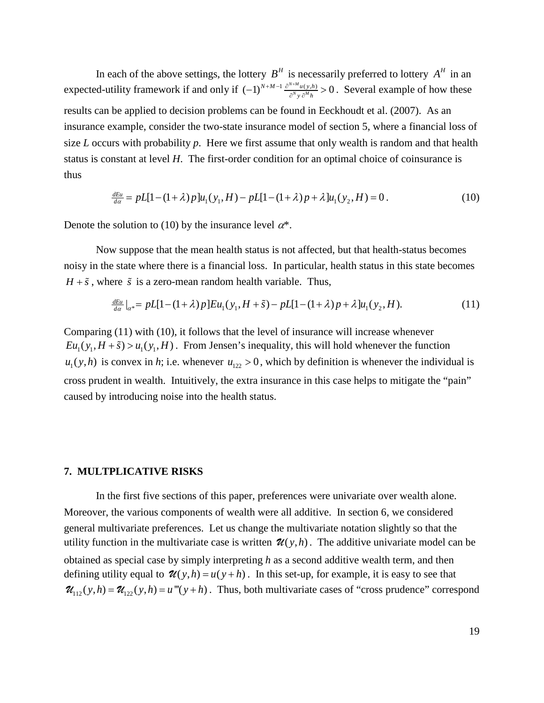In each of the above settings, the lottery  $B<sup>H</sup>$  is necessarily preferred to lottery  $A<sup>H</sup>$  in an expected-utility framework if and only if  $(-1)^{N+M-1} \frac{\partial^{N+M} u(y,h)}{\partial^N y} > 0$ *y h*  $+M-1$  ∂<sup>N+</sup>  $(-1)^{N+M-1} \frac{\partial^{N+m} u(y,h)}{\partial^N y \partial^M h} > 0$ . Several example of how these results can be applied to decision problems can be found in Eeckhoudt et al. (2007). As an insurance example, consider the two-state insurance model of section 5, where a financial loss of size *L* occurs with probability *p*. Here we first assume that only wealth is random and that health status is constant at level *H*. The first-order condition for an optimal choice of coinsurance is thus

$$
\frac{dE_u}{d\alpha} = pL[1 - (1 + \lambda)p]u_1(y_1, H) - pL[1 - (1 + \lambda)p + \lambda]u_1(y_2, H) = 0.
$$
\n(10)

Denote the solution to (10) by the insurance level  $\alpha^*$ .

Now suppose that the mean health status is not affected, but that health-status becomes noisy in the state where there is a financial loss. In particular, health status in this state becomes  $H + \tilde{s}$ , where  $\tilde{s}$  is a zero-mean random health variable. Thus,

$$
\frac{dE_u}{da}|_{\alpha^*} = pL[1 - (1 + \lambda)p]Eu_1(y_1, H + \tilde{s}) - pL[1 - (1 + \lambda)p + \lambda]u_1(y_2, H). \tag{11}
$$

Comparing (11) with (10), it follows that the level of insurance will increase whenever  $Eu_1(y_1, H + \tilde{s}) > u_1(y_1, H)$ . From Jensen's inequality, this will hold whenever the function  $u_1(y,h)$  is convex in *h*; i.e. whenever  $u_{122} > 0$ , which by definition is whenever the individual is cross prudent in wealth. Intuitively, the extra insurance in this case helps to mitigate the "pain" caused by introducing noise into the health status.

#### **7. MULTPLICATIVE RISKS**

In the first five sections of this paper, preferences were univariate over wealth alone. Moreover, the various components of wealth were all additive. In section 6, we considered general multivariate preferences. Let us change the multivariate notation slightly so that the utility function in the multivariate case is written  $\mathcal{U}(y,h)$ . The additive univariate model can be obtained as special case by simply interpreting *h* as a second additive wealth term, and then defining utility equal to  $\mathcal{U}(y,h) = u(y+h)$ . In this set-up, for example, it is easy to see that  $\mathcal{U}_{1/2}(y,h) = \mathcal{U}_{1/2}(y,h) = u'''(y+h)$ . Thus, both multivariate cases of "cross prudence" correspond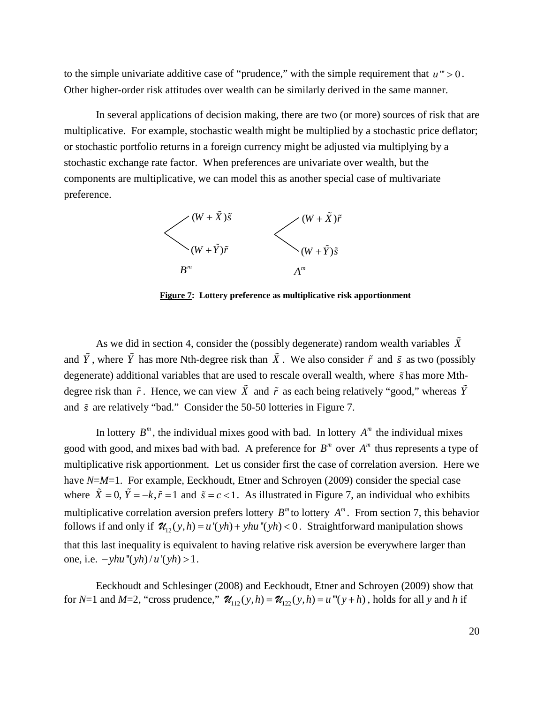to the simple univariate additive case of "prudence," with the simple requirement that  $u$ " > 0. Other higher-order risk attitudes over wealth can be similarly derived in the same manner.

In several applications of decision making, there are two (or more) sources of risk that are multiplicative. For example, stochastic wealth might be multiplied by a stochastic price deflator; or stochastic portfolio returns in a foreign currency might be adjusted via multiplying by a stochastic exchange rate factor. When preferences are univariate over wealth, but the components are multiplicative, we can model this as another special case of multivariate preference.



**Figure 7: Lottery preference as multiplicative risk apportionment**

As we did in section 4, consider the (possibly degenerate) random wealth variables  $\tilde{X}$ and  $\tilde{Y}$ , where  $\tilde{Y}$  has more Nth-degree risk than  $\tilde{X}$ . We also consider  $\tilde{r}$  and  $\tilde{s}$  as two (possibly degenerate) additional variables that are used to rescale overall wealth, where *s* has more Mthdegree risk than  $\tilde{r}$ . Hence, we can view  $\tilde{X}$  and  $\tilde{r}$  as each being relatively "good," whereas  $\tilde{Y}$ and *s* are relatively "bad." Consider the 50-50 lotteries in Figure 7.

In lottery  $B^m$ , the individual mixes good with bad. In lottery  $A^m$  the individual mixes good with good, and mixes bad with bad. A preference for  $B^m$  over  $A^m$  thus represents a type of multiplicative risk apportionment. Let us consider first the case of correlation aversion. Here we have *N*=*M*=1. For example, Eeckhoudt, Etner and Schroyen (2009) consider the special case where  $\tilde{X} = 0$ ,  $\tilde{Y} = -k$ ,  $\tilde{r} = 1$  and  $\tilde{s} = c < 1$ . As illustrated in Figure 7, an individual who exhibits multiplicative correlation aversion prefers lottery  $B^m$  to lottery  $A^m$ . From section 7, this behavior follows if and only if  $\mathcal{U}_1(y, h) = u'(y) + yhu'(y) < 0$ . Straightforward manipulation shows that this last inequality is equivalent to having relative risk aversion be everywhere larger than one, i.e.  $-yhu''(yh)/u'(yh) > 1$ .

Eeckhoudt and Schlesinger (2008) and Eeckhoudt, Etner and Schroyen (2009) show that for *N*=1 and *M*=2, "cross prudence,"  $\mathcal{U}_{12}(y,h) = \mathcal{U}_{12}(y,h) = u'''(y+h)$ , holds for all y and *h* if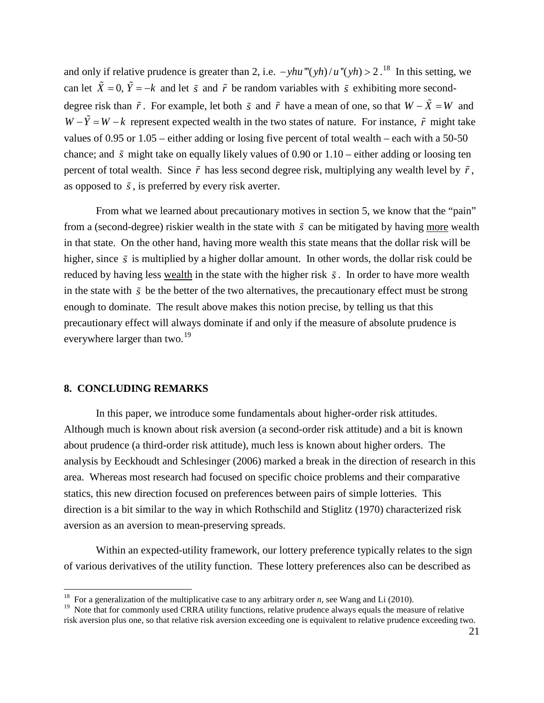and only if relative prudence is greater than 2, i.e.  $-yhu'''(yh)/u''(yh) > 2$ .<sup>[18](#page-21-0)</sup> In this setting, we *can let*  $\tilde{X} = 0$ ,  $\tilde{Y} = -k$  and let  $\tilde{s}$  and  $\tilde{r}$  be random variables with  $\tilde{s}$  exhibiting more seconddegree risk than  $\tilde{r}$ . For example, let both  $\tilde{s}$  and  $\tilde{r}$  have a mean of one, so that  $W - \tilde{X} = W$  and  $W - \tilde{Y} = W - k$  represent expected wealth in the two states of nature. For instance,  $\tilde{r}$  might take values of 0.95 or 1.05 – either adding or losing five percent of total wealth – each with a 50-50 chance; and  $\tilde{s}$  might take on equally likely values of 0.90 or 1.10 – either adding or loosing ten percent of total wealth. Since  $\tilde{r}$  has less second degree risk, multiplying any wealth level by  $\tilde{r}$ , as opposed to  $\tilde{s}$ , is preferred by every risk averter.

From what we learned about precautionary motives in section 5, we know that the "pain" from a (second-degree) riskier wealth in the state with  $\tilde{s}$  can be mitigated by having more wealth in that state. On the other hand, having more wealth this state means that the dollar risk will be higher, since  $\tilde{s}$  is multiplied by a higher dollar amount. In other words, the dollar risk could be reduced by having less wealth in the state with the higher risk *s*. In order to have more wealth in the state with  $\tilde{s}$  be the better of the two alternatives, the precautionary effect must be strong enough to dominate. The result above makes this notion precise, by telling us that this precautionary effect will always dominate if and only if the measure of absolute prudence is everywhere larger than two.<sup>[19](#page-21-1)</sup>

# **8. CONCLUDING REMARKS**

In this paper, we introduce some fundamentals about higher-order risk attitudes. Although much is known about risk aversion (a second-order risk attitude) and a bit is known about prudence (a third-order risk attitude), much less is known about higher orders. The analysis by Eeckhoudt and Schlesinger (2006) marked a break in the direction of research in this area. Whereas most research had focused on specific choice problems and their comparative statics, this new direction focused on preferences between pairs of simple lotteries. This direction is a bit similar to the way in which Rothschild and Stiglitz (1970) characterized risk aversion as an aversion to mean-preserving spreads.

Within an expected-utility framework, our lottery preference typically relates to the sign of various derivatives of the utility function. These lottery preferences also can be described as

<span id="page-21-0"></span><sup>&</sup>lt;sup>18</sup> For a generalization of the multiplicative case to any arbitrary order *n*, see Wang and Li (2010).

<span id="page-21-1"></span><sup>&</sup>lt;sup>19</sup> Note that for commonly used CRRA utility functions, relative prudence always equals the measure of relative risk aversion plus one, so that relative risk aversion exceeding one is equivalent to relative prudence exceeding two.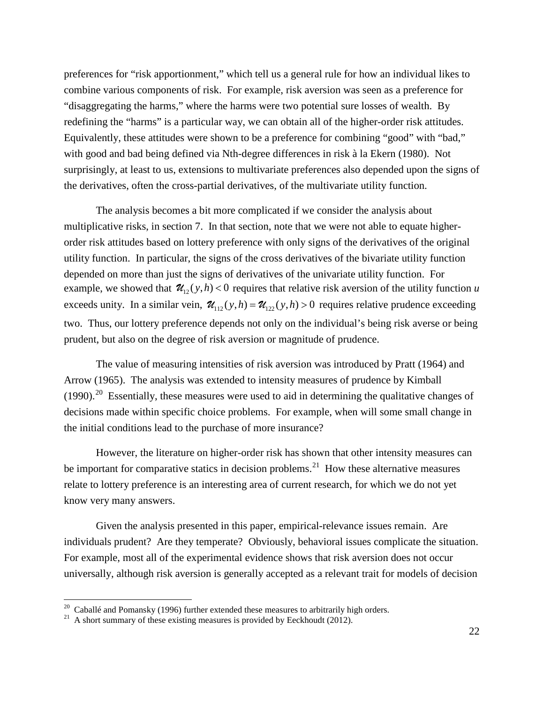preferences for "risk apportionment," which tell us a general rule for how an individual likes to combine various components of risk. For example, risk aversion was seen as a preference for "disaggregating the harms," where the harms were two potential sure losses of wealth. By redefining the "harms" is a particular way, we can obtain all of the higher-order risk attitudes. Equivalently, these attitudes were shown to be a preference for combining "good" with "bad," with good and bad being defined via Nth-degree differences in risk à la Ekern (1980). Not surprisingly, at least to us, extensions to multivariate preferences also depended upon the signs of the derivatives, often the cross-partial derivatives, of the multivariate utility function.

The analysis becomes a bit more complicated if we consider the analysis about multiplicative risks, in section 7. In that section, note that we were not able to equate higherorder risk attitudes based on lottery preference with only signs of the derivatives of the original utility function. In particular, the signs of the cross derivatives of the bivariate utility function depended on more than just the signs of derivatives of the univariate utility function. For example, we showed that  $\mathcal{U}_{12}(y,h) < 0$  requires that relative risk aversion of the utility function *u* exceeds unity. In a similar vein,  $\mathcal{U}_{12}(y,h) = \mathcal{U}_{12}(y,h) > 0$  requires relative prudence exceeding two. Thus, our lottery preference depends not only on the individual's being risk averse or being prudent, but also on the degree of risk aversion or magnitude of prudence.

The value of measuring intensities of risk aversion was introduced by Pratt (1964) and Arrow (1965). The analysis was extended to intensity measures of prudence by Kimball  $(1990).$ <sup>[20](#page-22-0)</sup> Essentially, these measures were used to aid in determining the qualitative changes of decisions made within specific choice problems. For example, when will some small change in the initial conditions lead to the purchase of more insurance?

However, the literature on higher-order risk has shown that other intensity measures can be important for comparative statics in decision problems.<sup>[21](#page-22-1)</sup> How these alternative measures relate to lottery preference is an interesting area of current research, for which we do not yet know very many answers.

Given the analysis presented in this paper, empirical-relevance issues remain. Are individuals prudent? Are they temperate? Obviously, behavioral issues complicate the situation. For example, most all of the experimental evidence shows that risk aversion does not occur universally, although risk aversion is generally accepted as a relevant trait for models of decision

<span id="page-22-0"></span><sup>&</sup>lt;sup>20</sup> Caballé and Pomansky (1996) further extended these measures to arbitrarily high orders.<br><sup>21</sup> A short summary of these existing measures is provided by Eeckhoudt (2012).

<span id="page-22-1"></span>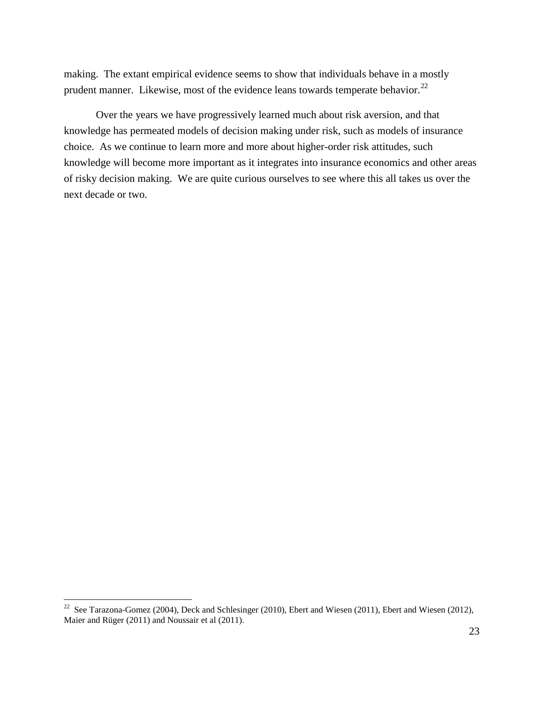making. The extant empirical evidence seems to show that individuals behave in a mostly prudent manner. Likewise, most of the evidence leans towards temperate behavior.<sup>[22](#page-23-0)</sup>

Over the years we have progressively learned much about risk aversion, and that knowledge has permeated models of decision making under risk, such as models of insurance choice. As we continue to learn more and more about higher-order risk attitudes, such knowledge will become more important as it integrates into insurance economics and other areas of risky decision making. We are quite curious ourselves to see where this all takes us over the next decade or two.

<span id="page-23-0"></span><sup>&</sup>lt;sup>22</sup> See Tarazona-Gomez (2004), Deck and Schlesinger (2010), Ebert and Wiesen (2011), Ebert and Wiesen (2012), Maier and Rüger (2011) and Noussair et al (2011).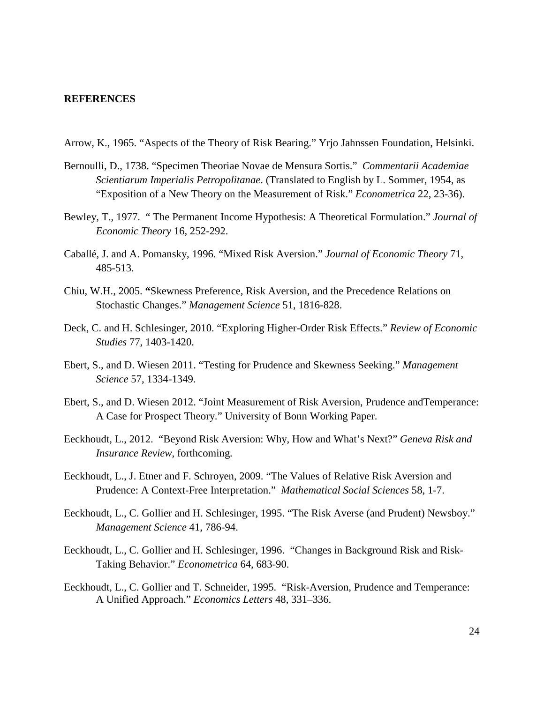## **REFERENCES**

- Arrow, K., 1965. "Aspects of the Theory of Risk Bearing." Yrjo Jahnssen Foundation, Helsinki.
- Bernoulli, D., 1738. "Specimen Theoriae Novae de Mensura Sortis." *Commentarii Academiae Scientiarum Imperialis Petropolitanae*. (Translated to English by L. Sommer, 1954, as "Exposition of a New Theory on the Measurement of Risk." *Econometrica* 22, 23-36).
- Bewley, T., 1977. " The Permanent Income Hypothesis: A Theoretical Formulation." *Journal of Economic Theory* 16, 252-292.
- Caballé, J. and A. Pomansky, 1996. "Mixed Risk Aversion." *Journal of Economic Theory* 71, 485-513.
- Chiu, W.H., 2005. **"**Skewness Preference, Risk Aversion, and the Precedence Relations on Stochastic Changes." *Management Science* 51, 1816-828.
- Deck, C. and H. Schlesinger, 2010. "Exploring Higher-Order Risk Effects." *Review of Economic Studies* 77, 1403-1420.
- Ebert, S., and D. Wiesen 2011. "Testing for Prudence and Skewness Seeking." *Management Science* 57, 1334-1349.
- Ebert, S., and D. Wiesen 2012. "Joint Measurement of Risk Aversion, Prudence andTemperance: A Case for Prospect Theory." University of Bonn Working Paper.
- Eeckhoudt, L., 2012. "Beyond Risk Aversion: Why, How and What's Next?" *Geneva Risk and Insurance Review*, forthcoming.
- Eeckhoudt, L., J. Etner and F. Schroyen, 2009. "The Values of Relative Risk Aversion and Prudence: A Context-Free Interpretation." *Mathematical Social Sciences* 58, 1-7.
- Eeckhoudt, L., C. Gollier and H. Schlesinger, 1995. "The Risk Averse (and Prudent) Newsboy." *Management Science* 41, 786-94.
- Eeckhoudt, L., C. Gollier and H. Schlesinger, 1996. "Changes in Background Risk and Risk-Taking Behavior." *Econometrica* 64, 683-90.
- Eeckhoudt, L., C. Gollier and T. Schneider, 1995. "Risk-Aversion, Prudence and Temperance: A Unified Approach." *Economics Letters* 48, 331–336.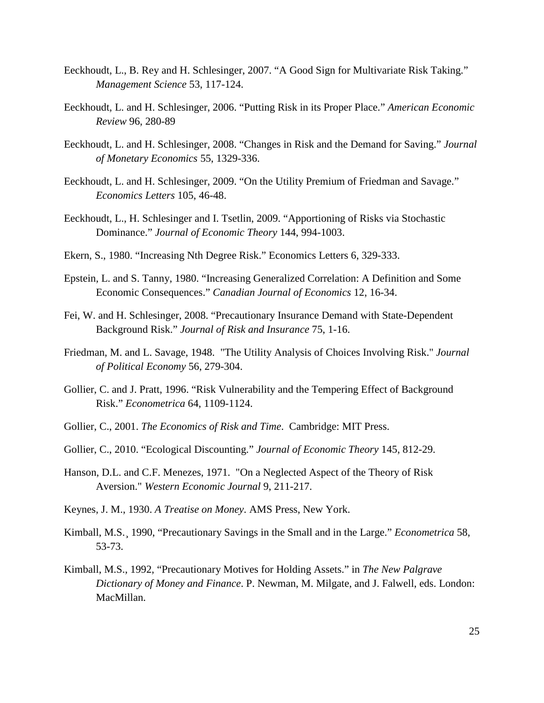- Eeckhoudt, L., B. Rey and H. Schlesinger, 2007. "A Good Sign for Multivariate Risk Taking." *Management Science* 53, 117-124.
- Eeckhoudt, L. and H. Schlesinger, 2006. "Putting Risk in its Proper Place." *American Economic Review* 96, 280-89
- Eeckhoudt, L. and H. Schlesinger, 2008. "Changes in Risk and the Demand for Saving." *Journal of Monetary Economics* 55, 1329-336.
- Eeckhoudt, L. and H. Schlesinger, 2009. "On the Utility Premium of Friedman and Savage." *Economics Letters* 105, 46-48.
- Eeckhoudt, L., H. Schlesinger and I. Tsetlin, 2009. "Apportioning of Risks via Stochastic Dominance." *Journal of Economic Theory* 144, 994-1003.
- Ekern, S., 1980. "Increasing Nth Degree Risk." Economics Letters 6, 329-333.
- Epstein, L. and S. Tanny, 1980. "Increasing Generalized Correlation: A Definition and Some Economic Consequences." *Canadian Journal of Economics* 12, 16-34.
- Fei, W. and H. Schlesinger, 2008. "Precautionary Insurance Demand with State-Dependent Background Risk." *Journal of Risk and Insurance* 75, 1-16.
- Friedman, M. and L. Savage, 1948. "The Utility Analysis of Choices Involving Risk." *Journal of Political Economy* 56, 279-304.
- Gollier, C. and J. Pratt, 1996. "Risk Vulnerability and the Tempering Effect of Background Risk." *Econometrica* 64, 1109-1124.
- Gollier, C., 2001. *The Economics of Risk and Time*. Cambridge: MIT Press.
- Gollier, C., 2010. "Ecological Discounting." *Journal of Economic Theory* 145, 812-29.
- Hanson, D.L. and C.F. Menezes, 1971. "On a Neglected Aspect of the Theory of Risk Aversion." *Western Economic Journal* 9, 211-217.
- Keynes, J. M., 1930. *A Treatise on Money*. AMS Press, New York.
- Kimball, M.S.¸ 1990, "Precautionary Savings in the Small and in the Large." *Econometrica* 58, 53-73.
- Kimball, M.S., 1992, "Precautionary Motives for Holding Assets." in *The New Palgrave Dictionary of Money and Finance*. P. Newman, M. Milgate, and J. Falwell, eds. London: MacMillan.